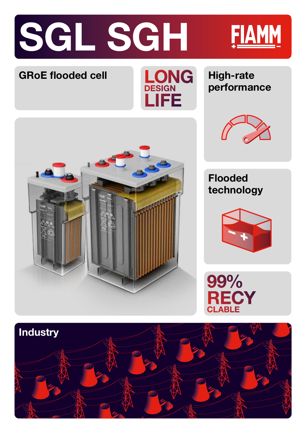





## **performance**